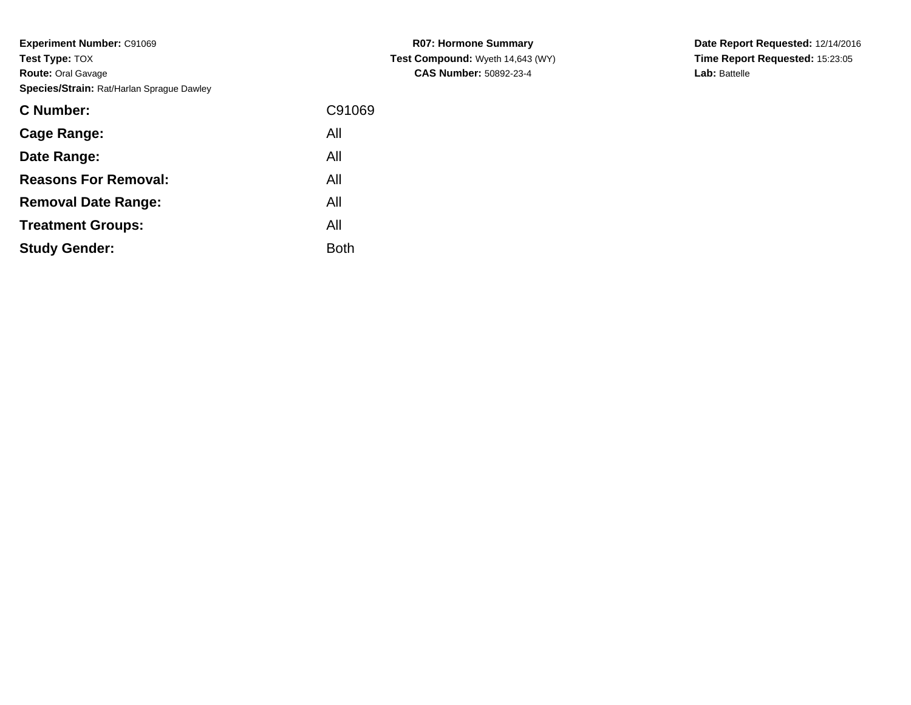| <b>C</b> Number:            | C91069      |
|-----------------------------|-------------|
| Cage Range:                 | All         |
| Date Range:                 | All         |
| <b>Reasons For Removal:</b> | All         |
| <b>Removal Date Range:</b>  | All         |
| <b>Treatment Groups:</b>    | All         |
| <b>Study Gender:</b>        | <b>Both</b> |
|                             |             |

**R07: Hormone Summary Test Compound:** Wyeth 14,643 (WY)**CAS Number:** 50892-23-4

**Date Report Requested:** 12/14/2016 **Time Report Requested:** 15:23:05**Lab:** Battelle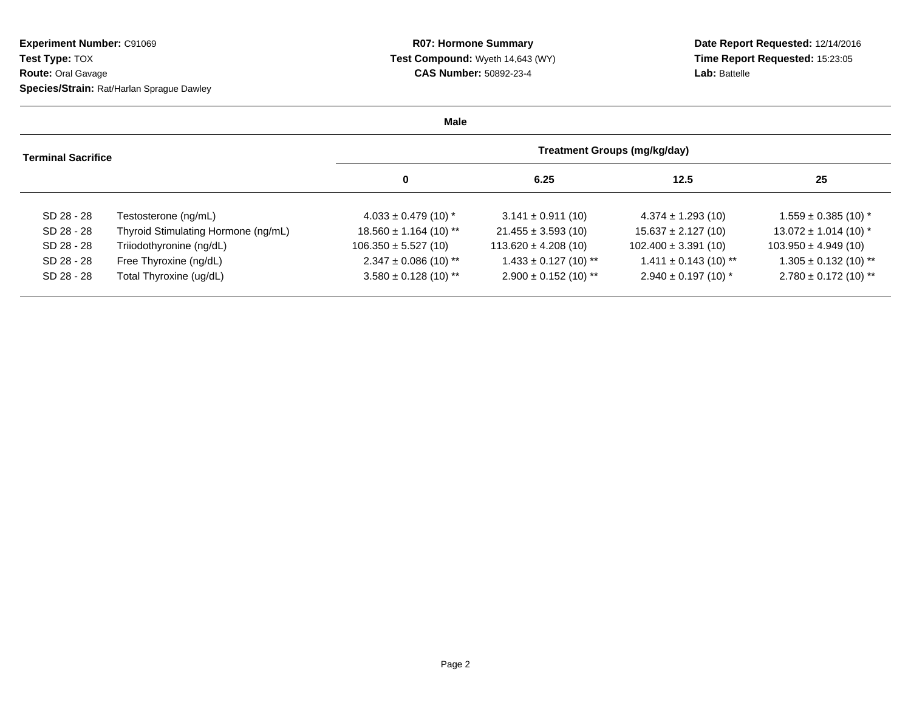**Date Report Requested:** 12/14/2016 **Time Report Requested:** 15:23:05**Lab:** Battelle

| Male                      |                                     |                                     |                           |                           |                           |  |  |  |
|---------------------------|-------------------------------------|-------------------------------------|---------------------------|---------------------------|---------------------------|--|--|--|
| <b>Terminal Sacrifice</b> |                                     | <b>Treatment Groups (mg/kg/day)</b> |                           |                           |                           |  |  |  |
|                           |                                     | 0                                   | 6.25                      | 12.5                      | 25                        |  |  |  |
| SD 28 - 28                | Testosterone (ng/mL)                | $4.033 \pm 0.479$ (10) *            | $3.141 \pm 0.911(10)$     | $4.374 \pm 1.293$ (10)    | $1.559 \pm 0.385$ (10) *  |  |  |  |
| SD 28 - 28                | Thyroid Stimulating Hormone (ng/mL) | $18.560 \pm 1.164$ (10) **          | $21.455 \pm 3.593$ (10)   | $15.637 \pm 2.127(10)$    | $13.072 \pm 1.014$ (10) * |  |  |  |
| SD 28 - 28                | Triiodothyronine (ng/dL)            | $106.350 \pm 5.527(10)$             | $113.620 \pm 4.208(10)$   | $102.400 \pm 3.391(10)$   | $103.950 \pm 4.949(10)$   |  |  |  |
| SD 28 - 28                | Free Thyroxine (ng/dL)              | $2.347 \pm 0.086$ (10) **           | $1.433 \pm 0.127$ (10) ** | $1.411 \pm 0.143$ (10) ** | $1.305 \pm 0.132$ (10) ** |  |  |  |
| SD 28 - 28                | Total Thyroxine (ug/dL)             | $3.580 \pm 0.128$ (10) **           | $2.900 \pm 0.152$ (10) ** | $2.940 \pm 0.197$ (10) *  | $2.780 \pm 0.172$ (10) ** |  |  |  |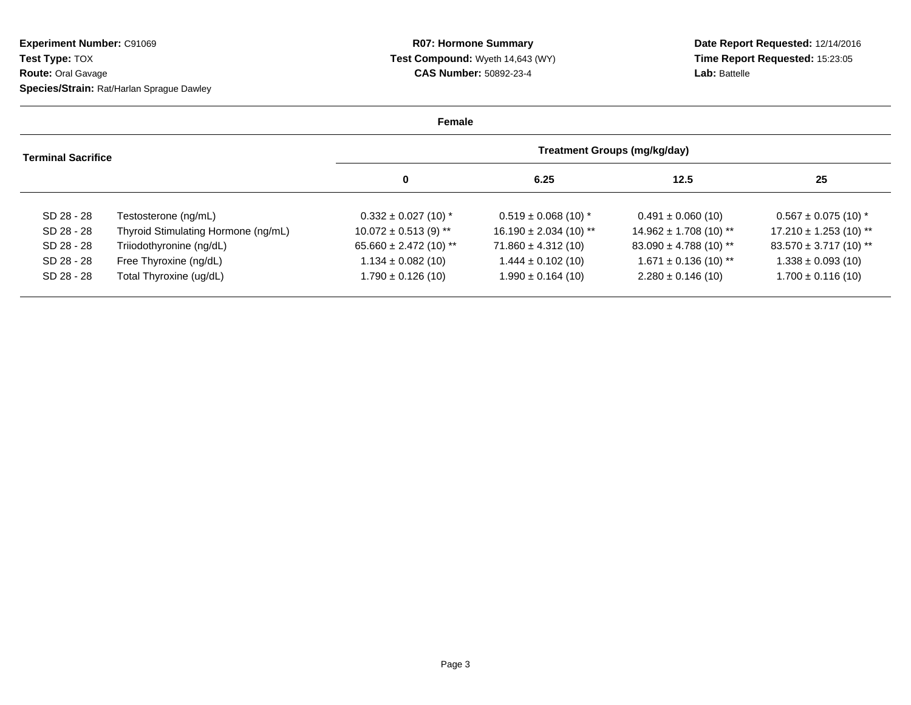**Date Report Requested:** 12/14/2016 **Time Report Requested:** 15:23:05**Lab:** Battelle

| Female                    |                                     |                                     |                           |                            |                            |  |  |  |
|---------------------------|-------------------------------------|-------------------------------------|---------------------------|----------------------------|----------------------------|--|--|--|
| <b>Terminal Sacrifice</b> |                                     | <b>Treatment Groups (mg/kg/day)</b> |                           |                            |                            |  |  |  |
|                           |                                     | 0                                   | 6.25                      | 12.5                       | 25                         |  |  |  |
| SD 28 - 28                | Testosterone (ng/mL)                | $0.332 \pm 0.027$ (10) *            | $0.519 \pm 0.068$ (10) *  | $0.491 \pm 0.060$ (10)     | $0.567 \pm 0.075$ (10) *   |  |  |  |
| SD 28 - 28                | Thyroid Stimulating Hormone (ng/mL) | $10.072 \pm 0.513$ (9) **           | $16.190 \pm 2.034(10)$ ** | $14.962 \pm 1.708$ (10) ** | $17.210 \pm 1.253$ (10) ** |  |  |  |
| SD 28 - 28                | Triiodothyronine (ng/dL)            | $65.660 \pm 2.472$ (10) **          | $71.860 \pm 4.312(10)$    | $83.090 \pm 4.788$ (10) ** | $83.570 \pm 3.717(10)$ **  |  |  |  |
| SD 28 - 28                | Free Thyroxine (ng/dL)              | $1.134 \pm 0.082$ (10)              | $1.444 \pm 0.102$ (10)    | $1.671 \pm 0.136$ (10) **  | $1.338 \pm 0.093$ (10)     |  |  |  |
| SD 28 - 28                | Total Thyroxine (ug/dL)             | $1.790 \pm 0.126$ (10)              | $1.990 \pm 0.164$ (10)    | $2.280 \pm 0.146$ (10)     | $1.700 \pm 0.116$ (10)     |  |  |  |